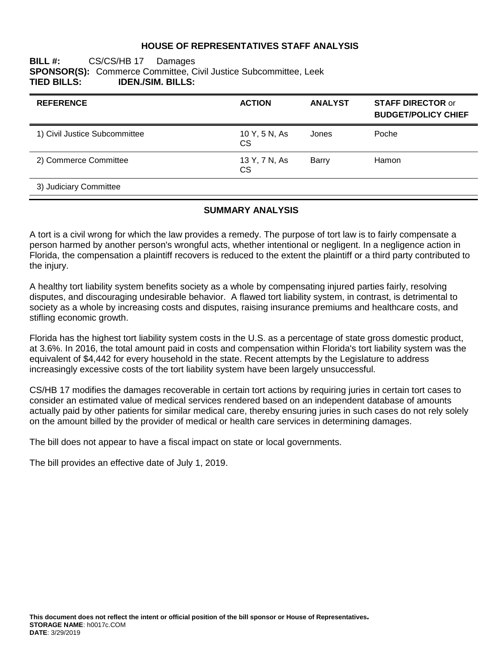#### **HOUSE OF REPRESENTATIVES STAFF ANALYSIS**

## **BILL #:** CS/CS/HB 17 Damages **SPONSOR(S):** Commerce Committee, Civil Justice Subcommittee, Leek **TIED BILLS: IDEN./SIM. BILLS:**

| <b>REFERENCE</b>              | <b>ACTION</b>              | <b>ANALYST</b> | <b>STAFF DIRECTOR or</b><br><b>BUDGET/POLICY CHIEF</b> |
|-------------------------------|----------------------------|----------------|--------------------------------------------------------|
| 1) Civil Justice Subcommittee | 10 Y, 5 N, As<br><b>CS</b> | Jones          | Poche                                                  |
| 2) Commerce Committee         | 13 Y, 7 N, As<br><b>CS</b> | Barry          | Hamon                                                  |
| 3) Judiciary Committee        |                            |                |                                                        |

#### **SUMMARY ANALYSIS**

A tort is a civil wrong for which the law provides a remedy. The purpose of tort law is to fairly compensate a person harmed by another person's wrongful acts, whether intentional or negligent. In a negligence action in Florida, the compensation a plaintiff recovers is reduced to the extent the plaintiff or a third party contributed to the injury.

A healthy tort liability system benefits society as a whole by compensating injured parties fairly, resolving disputes, and discouraging undesirable behavior. A flawed tort liability system, in contrast, is detrimental to society as a whole by increasing costs and disputes, raising insurance premiums and healthcare costs, and stifling economic growth.

Florida has the highest tort liability system costs in the U.S. as a percentage of state gross domestic product, at 3.6%. In 2016, the total amount paid in costs and compensation within Florida's tort liability system was the equivalent of \$4,442 for every household in the state. Recent attempts by the Legislature to address increasingly excessive costs of the tort liability system have been largely unsuccessful.

CS/HB 17 modifies the damages recoverable in certain tort actions by requiring juries in certain tort cases to consider an estimated value of medical services rendered based on an independent database of amounts actually paid by other patients for similar medical care, thereby ensuring juries in such cases do not rely solely on the amount billed by the provider of medical or health care services in determining damages.

The bill does not appear to have a fiscal impact on state or local governments.

The bill provides an effective date of July 1, 2019.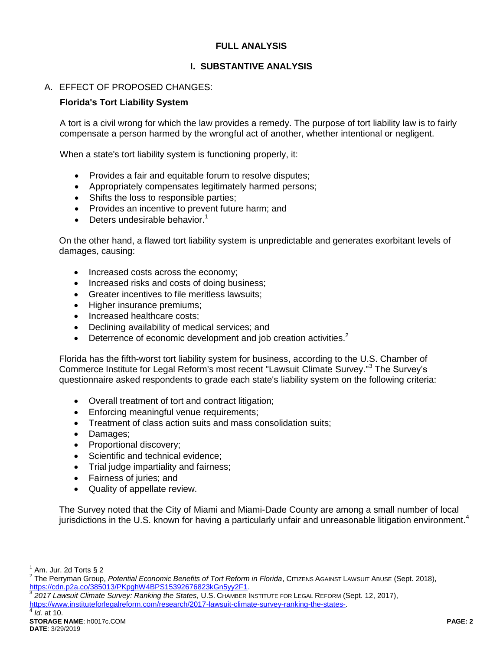# **FULL ANALYSIS**

# **I. SUBSTANTIVE ANALYSIS**

# A. EFFECT OF PROPOSED CHANGES:

#### **Florida's Tort Liability System**

A tort is a civil wrong for which the law provides a remedy. The purpose of tort liability law is to fairly compensate a person harmed by the wrongful act of another, whether intentional or negligent.

When a state's tort liability system is functioning properly, it:

- Provides a fair and equitable forum to resolve disputes;
- Appropriately compensates legitimately harmed persons;
- Shifts the loss to responsible parties;
- Provides an incentive to prevent future harm; and
- $\bullet$  Deters undesirable behavior.<sup>1</sup>

On the other hand, a flawed tort liability system is unpredictable and generates exorbitant levels of damages, causing:

- Increased costs across the economy;
- Increased risks and costs of doing business;
- Greater incentives to file meritless lawsuits;
- Higher insurance premiums:
- Increased healthcare costs;
- Declining availability of medical services; and
- **•** Deterrence of economic development and job creation activities.<sup>2</sup>

Florida has the fifth-worst tort liability system for business, according to the U.S. Chamber of Commerce Institute for Legal Reform's most recent "Lawsuit Climate Survey."<sup>3</sup> The Survey's questionnaire asked respondents to grade each state's liability system on the following criteria:

- Overall treatment of tort and contract litigation;
- Enforcing meaningful venue requirements:
- Treatment of class action suits and mass consolidation suits:
- Damages;
- Proportional discovery;
- Scientific and technical evidence;
- Trial judge impartiality and fairness;
- Fairness of juries; and
- Quality of appellate review.

The Survey noted that the City of Miami and Miami-Dade County are among a small number of local jurisdictions in the U.S. known for having a particularly unfair and unreasonable litigation environment.<sup>4</sup>

 $\overline{a}$ 

4

<sup>1</sup> Am. Jur. 2d Torts § 2

<sup>&</sup>lt;sup>2</sup> The Perryman Group, *Potential Economic Benefits of Tort Reform in Florida*, Cιτιzεns Against Lawsuit Abuse (Sept. 2018), [https://cdn.p2a.co/385013/PKpghW4BPS15392676823kGn5yy2F1.](https://cdn.p2a.co/385013/PKpghW4BPS15392676823kGn5yy2F1)

<sup>3</sup> *2017 Lawsuit Climate Survey: Ranking the States*, U.S. CHAMBER INSTITUTE FOR LEGAL REFORM (Sept. 12, 2017), [https://www.instituteforlegalreform.com/research/2017-lawsuit-climate-survey-ranking-the-states-.](https://www.instituteforlegalreform.com/research/2017-lawsuit-climate-survey-ranking-the-states-)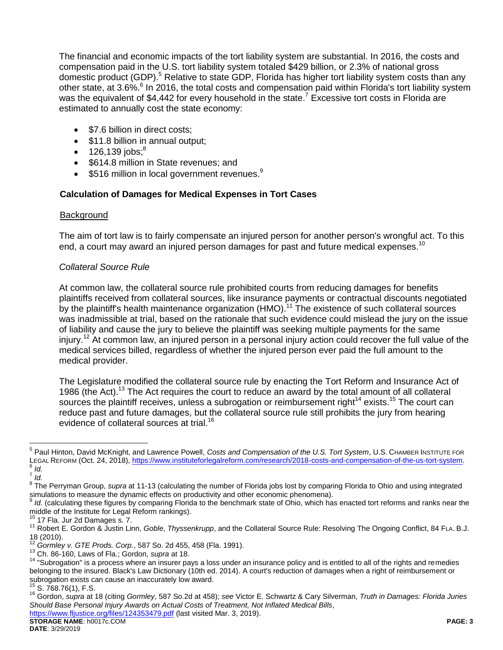The financial and economic impacts of the tort liability system are substantial. In 2016, the costs and compensation paid in the U.S. tort liability system totaled \$429 billion, or 2.3% of national gross domestic product (GDP).<sup>5</sup> Relative to state GDP, Florida has higher tort liability system costs than any other state, at 3.6%.<sup>6</sup> In 2016, the total costs and compensation paid within Florida's tort liability system was the equivalent of \$4,442 for every household in the state.<sup>7</sup> Excessive tort costs in Florida are estimated to annually cost the state economy:

- \$7.6 billion in direct costs:
- \$11.8 billion in annual output;
- $\bullet$  126,139 jobs;<sup>8</sup>
- \$614.8 million in State revenues; and
- $\bullet$  \$516 million in local government revenues.<sup>9</sup>

## **Calculation of Damages for Medical Expenses in Tort Cases**

#### **Background**

The aim of tort law is to fairly compensate an injured person for another person's wrongful act. To this end, a court may award an injured person damages for past and future medical expenses.<sup>10</sup>

## *Collateral Source Rule*

At common law, the collateral source rule prohibited courts from reducing damages for benefits plaintiffs received from collateral sources, like insurance payments or contractual discounts negotiated by the plaintiff's health maintenance organization (HMO).<sup>11</sup> The existence of such collateral sources was inadmissible at trial, based on the rationale that such evidence could mislead the jury on the issue of liability and cause the jury to believe the plaintiff was seeking multiple payments for the same injury. <sup>12</sup> At common law, an injured person in a personal injury action could recover the full value of the medical services billed, regardless of whether the injured person ever paid the full amount to the medical provider.

The Legislature modified the collateral source rule by enacting the Tort Reform and Insurance Act of 1986 (the Act).<sup>13</sup> The Act requires the court to reduce an award by the total amount of all collateral sources the plaintiff receives, unless a subrogation or reimbursement right<sup>14</sup> exists.<sup>15</sup> The court can reduce past and future damages, but the collateral source rule still prohibits the jury from hearing evidence of collateral sources at trial.<sup>16</sup>

 $\overline{a}$ 

<sup>5</sup> Paul Hinton, David McKnight, and Lawrence Powell, *Costs and Compensation of the U.S. Tort System*, U.S. CHAMBER INSTITUTE FOR LEGAL REFORM (Oct. 24, 2018), [https://www.instituteforlegalreform.com/research/2018-costs-and-compensation-of-the-us-tort-system.](https://www.instituteforlegalreform.com/research/2018-costs-and-compensation-of-the-us-tort-system) 6 *Id.*

<sup>7</sup> *Id.*

<sup>&</sup>lt;sup>8</sup> The Perryman Group, supra at 11-13 (calculating the number of Florida jobs lost by comparing Florida to Ohio and using integrated simulations to measure the dynamic effects on productivity and other economic phenomena).<br><sup>9</sup> Id (calculation these figures by comparing Flarida to the hanghmark atota of Obje. which ha

*Id.* (calculating these figures by comparing Florida to the benchmark state of Ohio, which has enacted tort reforms and ranks near the middle of the Institute for Legal Reform rankings).

<sup>17</sup> Fla. Jur 2d Damages s. 7.

<sup>11</sup> Robert E. Gordon & Justin Linn, *Goble*, *Thyssenkrupp*, and the Collateral Source Rule: Resolving The Ongoing Conflict, 84 FLA. B.J.  $18$  (2010).

<sup>12</sup> *Gormley v. GTE Prods. Corp.*, 587 So. 2d 455, 458 (Fla. 1991).

<sup>13</sup> Ch. 86-160, Laws of Fla.; Gordon, *supra* at 18.

<sup>&</sup>lt;sup>14</sup> "Subrogation" is a process where an insurer pays a loss under an insurance policy and is entitled to all of the rights and remedies belonging to the insured. Black's Law Dictionary (10th ed. 2014). A court's reduction of damages when a right of reimbursement or subrogation exists can cause an inaccurately low award.

 $15$  S. 768.76(1), F.S.

<sup>16</sup> Gordon, *supra* at 18 (citing *Gormley*, 587 So.2d at 458); *see* Victor E. Schwartz & Cary Silverman, *Truth in Damages: Florida Juries Should Base Personal Injury Awards on Actual Costs of Treatment, Not Inflated Medical Bills*,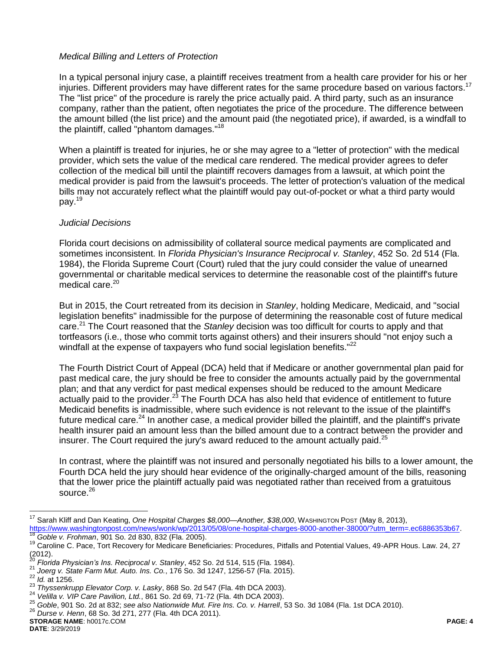## *Medical Billing and Letters of Protection*

In a typical personal injury case, a plaintiff receives treatment from a health care provider for his or her injuries. Different providers may have different rates for the same procedure based on various factors.<sup>17</sup> The "list price" of the procedure is rarely the price actually paid. A third party, such as an insurance company, rather than the patient, often negotiates the price of the procedure. The difference between the amount billed (the list price) and the amount paid (the negotiated price), if awarded, is a windfall to the plaintiff, called "phantom damages."<sup>18</sup>

When a plaintiff is treated for injuries, he or she may agree to a "letter of protection" with the medical provider, which sets the value of the medical care rendered. The medical provider agrees to defer collection of the medical bill until the plaintiff recovers damages from a lawsuit, at which point the medical provider is paid from the lawsuit's proceeds. The letter of protection's valuation of the medical bills may not accurately reflect what the plaintiff would pay out-of-pocket or what a third party would pay.<sup>19</sup>

#### *Judicial Decisions*

Florida court decisions on admissibility of collateral source medical payments are complicated and sometimes inconsistent. In *Florida Physician's Insurance Reciprocal v. Stanley*, 452 So. 2d 514 (Fla. 1984), the Florida Supreme Court (Court) ruled that the jury could consider the value of unearned governmental or charitable medical services to determine the reasonable cost of the plaintiff's future medical care. 20

But in 2015, the Court retreated from its decision in *Stanley*, holding Medicare, Medicaid, and "social legislation benefits" inadmissible for the purpose of determining the reasonable cost of future medical care.<sup>21</sup> The Court reasoned that the *Stanley* decision was too difficult for courts to apply and that tortfeasors (i.e., those who commit torts against others) and their insurers should "not enjoy such a windfall at the expense of taxpayers who fund social legislation benefits."<sup>22</sup>

The Fourth District Court of Appeal (DCA) held that if Medicare or another governmental plan paid for past medical care, the jury should be free to consider the amounts actually paid by the governmental plan; and that any verdict for past medical expenses should be reduced to the amount Medicare actually paid to the provider.<sup>23</sup> The Fourth DCA has also held that evidence of entitlement to future Medicaid benefits is inadmissible, where such evidence is not relevant to the issue of the plaintiff's future medical care.<sup>24</sup> In another case, a medical provider billed the plaintiff, and the plaintiff's private health insurer paid an amount less than the billed amount due to a contract between the provider and insurer. The Court required the jury's award reduced to the amount actually paid.<sup>25</sup>

In contrast, where the plaintiff was not insured and personally negotiated his bills to a lower amount, the Fourth DCA held the jury should hear evidence of the originally-charged amount of the bills, reasoning that the lower price the plaintiff actually paid was negotiated rather than received from a gratuitous source. $26$ 

- 21 *Joerg v. State Farm Mut. Auto. Ins. Co.*, 176 So. 3d 1247, 1256-57 (Fla. 2015).
- <sup>22</sup> *Id.* at 1256.

 $\overline{a}$ 

<sup>17</sup> Sarah Kliff and Dan Keating, *One Hospital Charges \$8,000—Another, \$38,000*, WASHINGTON POST (May 8, 2013), [https://www.washingtonpost.com/news/wonk/wp/2013/05/08/one-hospital-charges-8000-another-38000/?utm\\_term=.ec6886353b67.](https://www.washingtonpost.com/news/wonk/wp/2013/05/08/one-hospital-charges-8000-another-38000/?utm_term=.ec6886353b67)

<sup>18</sup> *Goble v. Frohman*, 901 So. 2d 830, 832 (Fla. 2005).

<sup>&</sup>lt;sup>19</sup> Caroline C. Pace, Tort Recovery for Medicare Beneficiaries: Procedures, Pitfalls and Potential Values, 49-APR Hous. Law. 24, 27  $(2012)$ .

<sup>20</sup> *Florida Physician's Ins. Reciprocal v. Stanley*, 452 So. 2d 514, 515 (Fla. 1984).

<sup>23</sup> *Thyssenkrupp Elevator Corp. v. Lasky*, 868 So. 2d 547 (Fla. 4th DCA 2003).

<sup>24</sup> *Velilla v. VIP Care Pavilion, Ltd.*, 861 So. 2d 69, 71-72 (Fla. 4th DCA 2003).

<sup>25</sup> *Goble*, 901 So. 2d at 832; *see also Nationwide Mut. Fire Ins. Co. v. Harrell*, 53 So. 3d 1084 (Fla. 1st DCA 2010).

<sup>26</sup> *Durse v. Henn*, 68 So. 3d 271, 277 (Fla. 4th DCA 2011).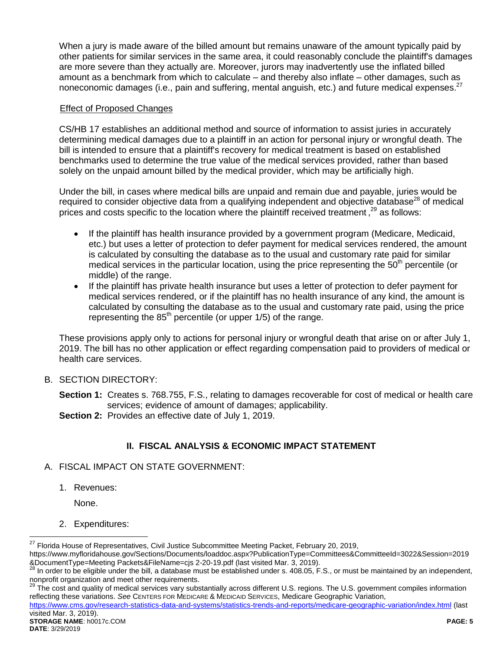When a jury is made aware of the billed amount but remains unaware of the amount typically paid by other patients for similar services in the same area, it could reasonably conclude the plaintiff's damages are more severe than they actually are. Moreover, jurors may inadvertently use the inflated billed amount as a benchmark from which to calculate – and thereby also inflate – other damages, such as noneconomic damages (i.e., pain and suffering, mental anguish, etc.) and future medical expenses.<sup>27</sup>

## Effect of Proposed Changes

CS/HB 17 establishes an additional method and source of information to assist juries in accurately determining medical damages due to a plaintiff in an action for personal injury or wrongful death. The bill is intended to ensure that a plaintiff's recovery for medical treatment is based on established benchmarks used to determine the true value of the medical services provided, rather than based solely on the unpaid amount billed by the medical provider, which may be artificially high.

Under the bill, in cases where medical bills are unpaid and remain due and payable, juries would be required to consider objective data from a qualifying independent and objective database<sup>28</sup> of medical prices and costs specific to the location where the plaintiff received treatment,  $29$  as follows:

- If the plaintiff has health insurance provided by a government program (Medicare, Medicaid, etc.) but uses a letter of protection to defer payment for medical services rendered, the amount is calculated by consulting the database as to the usual and customary rate paid for similar medical services in the particular location, using the price representing the  $50<sup>th</sup>$  percentile (or middle) of the range.
- If the plaintiff has private health insurance but uses a letter of protection to defer payment for medical services rendered, or if the plaintiff has no health insurance of any kind, the amount is calculated by consulting the database as to the usual and customary rate paid, using the price representing the  $85<sup>th</sup>$  percentile (or upper 1/5) of the range.

These provisions apply only to actions for personal injury or wrongful death that arise on or after July 1, 2019. The bill has no other application or effect regarding compensation paid to providers of medical or health care services.

B. SECTION DIRECTORY:

**Section 1:** Creates s. 768.755, F.S., relating to damages recoverable for cost of medical or health care services; evidence of amount of damages; applicability.

**Section 2:** Provides an effective date of July 1, 2019.

# **II. FISCAL ANALYSIS & ECONOMIC IMPACT STATEMENT**

## A. FISCAL IMPACT ON STATE GOVERNMENT:

1. Revenues:

None.

 $\overline{a}$ 

2. Expenditures:

The cost and quality of medical services vary substantially across different U.S. regions. The U.S. government compiles information reflecting these variations. *See* CENTERS FOR MEDICARE & MEDICAID SERVICES, Medicare Geographic Variation,

<https://www.cms.gov/research-statistics-data-and-systems/statistics-trends-and-reports/medicare-geographic-variation/index.html> (last visited Mar. 3, 2019).

<sup>&</sup>lt;sup>27</sup> Florida House of Representatives, Civil Justice Subcommittee Meeting Packet, February 20, 2019,

https://www.myfloridahouse.gov/Sections/Documents/loaddoc.aspx?PublicationType=Committees&CommitteeId=3022&Session=2019 &DocumentType=Meeting Packets&FileName=cjs 2-20-19.pdf (last visited Mar. 3, 2019).

 $^{28}$  In order to be eligible under the bill, a database must be established under s. 408.05, F.S., or must be maintained by an independent, nonprofit organization and meet other requirements.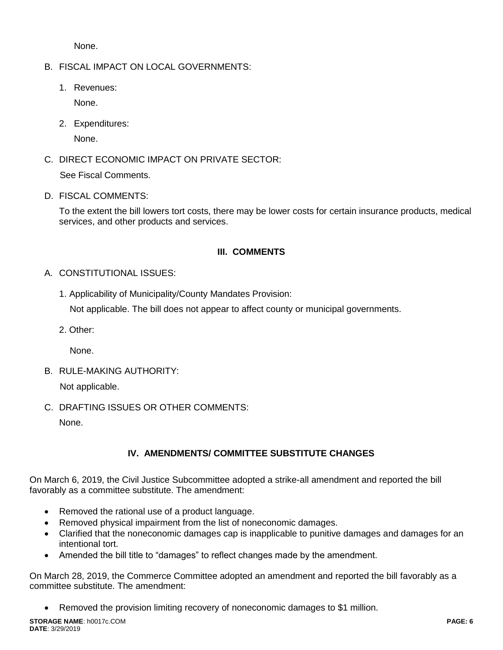None.

B. FISCAL IMPACT ON LOCAL GOVERNMENTS:

1. Revenues: None.

2. Expenditures:

None.

C. DIRECT ECONOMIC IMPACT ON PRIVATE SECTOR: See Fiscal Comments.

D. FISCAL COMMENTS:

To the extent the bill lowers tort costs, there may be lower costs for certain insurance products, medical services, and other products and services.

# **III. COMMENTS**

- A. CONSTITUTIONAL ISSUES:
	- 1. Applicability of Municipality/County Mandates Provision:

Not applicable. The bill does not appear to affect county or municipal governments.

2. Other:

None.

B. RULE-MAKING AUTHORITY:

Not applicable.

C. DRAFTING ISSUES OR OTHER COMMENTS:

None.

# **IV. AMENDMENTS/ COMMITTEE SUBSTITUTE CHANGES**

On March 6, 2019, the Civil Justice Subcommittee adopted a strike-all amendment and reported the bill favorably as a committee substitute. The amendment:

- Removed the rational use of a product language.
- Removed physical impairment from the list of noneconomic damages.
- Clarified that the noneconomic damages cap is inapplicable to punitive damages and damages for an intentional tort.
- Amended the bill title to "damages" to reflect changes made by the amendment.

On March 28, 2019, the Commerce Committee adopted an amendment and reported the bill favorably as a committee substitute. The amendment:

Removed the provision limiting recovery of noneconomic damages to \$1 million.